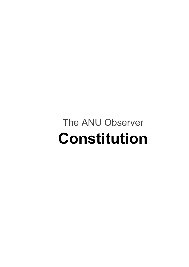# The ANU Observer **Constitution**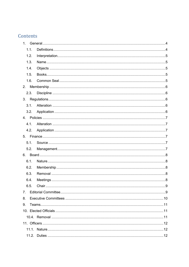# Contents

| 1 <sup>1</sup> |  |  |  |
|----------------|--|--|--|
| 1.1.           |  |  |  |
| 1.2.           |  |  |  |
| 1.3.           |  |  |  |
| 1.4.           |  |  |  |
| 1.5.           |  |  |  |
| 1.6.           |  |  |  |
|                |  |  |  |
| 2.3.           |  |  |  |
|                |  |  |  |
| 3.1.           |  |  |  |
| 3.2.           |  |  |  |
|                |  |  |  |
| 4.1.           |  |  |  |
| 4.2.           |  |  |  |
|                |  |  |  |
| 5.1.           |  |  |  |
| 5.2.           |  |  |  |
|                |  |  |  |
| 6.1.           |  |  |  |
| 6.2.           |  |  |  |
| 6.3.           |  |  |  |
| 6.4.           |  |  |  |
| 6.5.           |  |  |  |
| 7 <sub>1</sub> |  |  |  |
| 8.             |  |  |  |
| 9.             |  |  |  |
|                |  |  |  |
|                |  |  |  |
|                |  |  |  |
|                |  |  |  |
|                |  |  |  |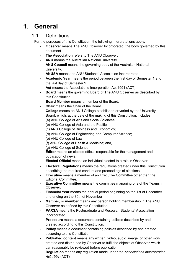# <span id="page-3-1"></span><span id="page-3-0"></span>**1. General**

## 1.1. Definitions

For the purposes of this Constitution, the following interpretations apply:

- **Observer** means The ANU Observer Incorporated, the body governed by this document.
- **The Association** refers to The ANU Observer.
- **ANU** means the Australian National University.
- **ANU Council** means the governing body of the Australian National University.
- **ANUSA** means the ANU Students' Association Incorporated.
- **Academic Year** means the period between the first day of Semester 1 and the last day of Semester 2.
- **Act** means the Associations Incorporation Act 1991 (ACT).
- **Board** means the governing Board of The ANU Observer as described by this Constitution.
- **Board Member** means a member of the Board.
- **Chair** means the Chair of the Board.
- **College** means an ANU College established or varied by the University Board, which, at the date of the making of this Constitution, includes: (a) ANU College of Arts and Social Sciences;
	- (b) ANU College of Asia and the Pacific;
	- (c) ANU College of Business and Economics;
	- (d) ANU College of Engineering and Computer Science;
	- (e) ANU College of Law;
	- (f) ANU College of Health & Medicine; and,
	- (g) ANU College of Science
- **Editor** means an elected official responsible for the management and publication of news.
- **Elected Official** means an individual elected to a role in Observer.
- **Electoral Regulations** means the regulations created under this Constitution describing the required conduct and proceedings of elections.
- **Executive** means a member of an Executive Committee other than the Editorial Committee.
- **Executive Committee** means the committee managing one of the Teams in Observer.
- **Financial Year** means the annual period beginning on the 1st of December and ending on the 30th of November
- **Member**, or **member** means any person holding membership in The ANU Observer as defined by this Constitution.
- **PARSA** means the Postgraduate and Research Students' Association Incorporated.
- **Procedure** means a document containing policies described by and created according to this Constitution.
- Policy means a document containing policies described by and created according to this Constitution.
- **Published content** means any written, video, audio, image, or other work created and distributed by Observer to fulfil the objects of Observer, which can reasonably be reviewed before publication.
- **Regulation** means any regulation made under the *Associations Incorporation Act 1991* (ACT).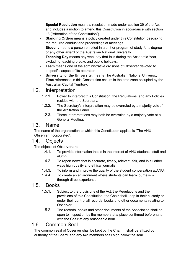- **Special Resolution** means a resolution made under section 39 of the Act, and includes a motion to amend this Constitution in accordance with section 13 ("Alteration of the Constitution").
- **Standing Orders** means a policy created under this Constitution describing the required conduct and proceedings at meetings.
- **Student** means a person enrolled in a unit or program of study for a degree or any other award of the Australian National University.
- **Teaching Day** means any weekday that falls during the Academic Year, excluding teaching breaks and public holidays.
- **Team** means one of the administrative divisions of Observer devoted to a specific aspect of its operation.
- **University**, or **the University,** means The Australian National University.
- Time referenced in this Constitution occurs in the time zone occupied by the Australian Capital Territory.

## <span id="page-4-0"></span>1.2. Interpretation

- 1.2.1. Power to interpret this Constitution, the Regulations, and any Policies resides with the Secretary.
- 1.2.2. The Secretary's interpretation may be overruled by a majority voteof the Arbitration Panel.
- 1.2.3. These interpretations may both be overruled by a majority vote at a General Meeting.

#### <span id="page-4-1"></span>1.3. Name

The name of the organisation to which this Constitution applies is "The ANU Observer Incorporated".

## <span id="page-4-2"></span>1.4. Objects

The objects of Observer are:

- 1.4.1. To provide information that is in the interest of ANU students, staff and alumni.
- 1.4.2. To report news that is accurate, timely, relevant, fair, and in all other ways high quality and ethical journalism.
- 1.4.3. To inform and improve the quality of the student conversation at ANU.
- 1.4.4. To create an environment where students can learn journalism through direct experience.

## <span id="page-4-3"></span>1.5. Books

- 1.5.1. Subject to the provisions of the Act, the Regulations and the provisions of this Constitution, the Chair shall keep in their custody or under their control all records, books and other documents relating to Observer.
- 1.5.2. The records, books and other documents of the Association shall be open to inspection by the members at a place confirmed beforehand with the Chair at any reasonable hour.

## <span id="page-4-4"></span>1.6. Common Seal

The common seal of Observer shall be kept by the Chair. It shall be affixed by authority of the Board, and any two members shall sign below the seal.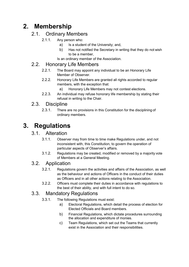# <span id="page-5-0"></span>**2. Membership**

## 2.1. Ordinary Members

#### 2.1.1. Any person who:

- a) Is a student of the University; and,
- b) Has not notified the Secretary in writing that they do not wish to be a member,

Is an ordinary member of the Association.

## 2.2. Honorary Life Members

- 2.2.1. The Board may appoint any individual to be an Honorary Life Member of Observer.
- 2.2.2. Honorary Life Members are granted all rights accorded to regular members, with the exception that:
	- a) Honorary Life Members may not contest elections.
- 2.2.3. An individual may refuse honorary life membership by stating their refusal in writing to the Chair.

## <span id="page-5-1"></span>2.3. Discipline

2.3.1. There are no provisions in this Constitution for the disciplining of ordinary members.

# <span id="page-5-3"></span><span id="page-5-2"></span>**3. Regulations**

## 3.1. Alteration

- 3.1.1. Observer may from time to time make Regulations under, and not inconsistent with, this Constitution, to govern the operation of particular aspects of Observer's affairs.
- 3.1.2. Regulations may be created, modified or removed by a majority vote of Members at a General Meeting.

# <span id="page-5-4"></span>3.2. Application

- 3.2.1. Regulations govern the activities and affairs of the Association, as well as the behaviour and actions of Officers in the conduct of their duties as Officers and in all other actions relating to the Association.
- 3.2.2. Officers must complete their duties in accordance with regulations to the best of their ability, and with full intent to do so.

# 3.3. Mandatory Regulations

- 3.3.1. The following Regulations must exist:
	- a) Electoral Regulations, which detail the process of election for Elected Officials and Board members.
	- b) Financial Regulations, which dictate procedures surrounding the allocation and expenditure of monies.
	- c) Team Regulations, which set out the Teams that currently exist in the Association and their responsibilities.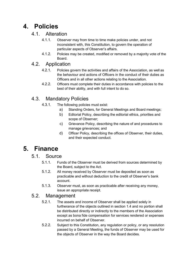# <span id="page-6-1"></span><span id="page-6-0"></span>**4. Policies**

#### 4.1. Alteration

- 4.1.1. Observer may from time to time make policies under, and not inconsistent with, this Constitution, to govern the operation of particular aspects of Observer's affairs.
- 4.1.2. Policies may be created, modified or removed by a majority vote of the Board.

# <span id="page-6-2"></span>4.2. Application

- 4.2.1. Policies govern the activities and affairs of the Association, as well as the behaviour and actions of Officers in the conduct of their duties as Officers and in all other actions relating to the Association.
- 4.2.2. Officers must complete their duties in accordance with policies to the best of their ability, and with full intent to do so.

# 4.3. Mandatory Policies

- 4.3.1. The following policies must exist:
	- a) Standing Orders, for General Meetings and Board meetings;
	- b) Editorial Policy, describing the editorial ethics, priorities and scope of Observer;
	- c) Grievance Policy, describing the nature of and procedures to manage grievances; and
	- d) Officer Policy, describing the offices of Observer, their duties, and their expected conduct.

# <span id="page-6-4"></span><span id="page-6-3"></span>**5. Finance**

#### 5.1. Source

- 5.1.1. Funds of the Observer must be derived from sources determined by the Board, subject to the Act.
- 5.1.2. All money received by Observer must be deposited as soon as practicable and without deduction to the credit of Observer's bank account.
- 5.1.3. Observer must, as soon as practicable after receiving any money, issue an appropriate receipt.

## <span id="page-6-5"></span>5.2. Management

- 5.2.1. The assets and income of Observer shall be applied solely in furtherance of the objects outlined in section 1.4 and no portion shall be distributed directly or indirectly to the members of the Association except as bona fide compensation for services rendered or expenses incurred on behalf of Observer.
- 5.2.2. Subject to this Constitution, any regulation or policy, or any resolution passed by a General Meeting, the funds of Observer may be used for the objects of Observer in the way the Board decides.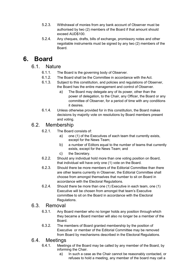- 5.2.3. Withdrawal of monies from any bank account of Observer must be authorised by two (2) members of the Board if that amount should exceed AUD\$100.
- 5.2.4. Any cheques, drafts, bills of exchange, promissory notes and other negotiable instruments must be signed by any two (2) members of the Board.

# <span id="page-7-1"></span><span id="page-7-0"></span>**6. Board**

#### 6.1. Nature

- 6.1.1. The Board is the governing body of Observer.
- 6.1.2. The Board shall be the Committee in accordance with the Act.
- 6.1.3. Subject to this constitution, and policies and regulations of Observer, the Board has the entire management and control of Observer.
	- a) The Board may delegate any of its power, other than the power of delegation, to the Chair, any Officer, the Board or any committee of Observer, for a period of time with any conditions it desires.
- 6.1.4. Unless otherwise provided for in this constitution, the Board makes decisions by majority vote on resolutions by Board members present and voting.

## <span id="page-7-2"></span>6.2. Membership

- 6.2.1. The Board consists of:
	- a) one (1) of the Executives of each team that currently exists, except for the News Team;
	- b) a number of Editors equal to the number of teams that currently exists, except for the News Team; and
	- c) the Secretary.
- 6.2.2. Should any individual hold more than one voting position on Board, that individual will have only one (1) vote on the Board.
- 6.2.3. Should there be more members of the Editorial Committee than there are other teams currently in Observer, the Editorial Committee shall choose from amongst themselves that number to sit on Board in accordance with the Electoral Regulations.
- 6.2.4. Should there be more than one (1) Executive in each team, one (1) Executive will be chosen from amongst that team's Executive committee to sit on the Board in accordance with the Electoral Regulations.

#### <span id="page-7-3"></span>6.3. Removal

- 6.3.1. Any Board member who no longer holds any position through which they became a Board member will also no longer be a member of the Board.
- 6.3.2. The members of Board granted membership by the position of Executive or member of the Editorial Committee may be removed from Board by mechanisms described in the Electoral Regulations.

#### <span id="page-7-4"></span>6.4. Meetings

- 6.4.1. Meetings of the Board may be called by any member of the Board, by informing the Chair.
	- a) In such a case as the Chair cannot be reasonably contacted, or refuses to hold a meeting, any member of the board may call a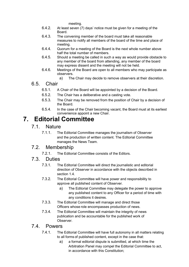meeting.

- 6.4.2. At least seven (7) days' notice must be given for a meeting of the Board.
- 6.4.3. The convening member of the board must take all reasonable measures to notify all members of the board of the time and place of meeting.
- 6.4.4. Quorum for a meeting of the Board is the next whole number above half the total number of members.
- 6.4.5. Should a meeting be called in such a way as would provide obstacle to any member of the board from attending, any member of the board may express dissent and the meeting will not be held.
- 6.4.6. Meetings of the Board are open to all members who may participate as observers.
	- a) The Chair may decide to remove observers at their discretion.
- <span id="page-8-0"></span>6.5. Chair
	- 6.5.1. A Chair of the Board will be appointed by a decision of the Board.
	- 6.5.2. The Chair has a deliberative and a casting vote.
	- 6.5.3. The Chair may be removed from the position of Chair by a decision of the Board.
	- 6.5.4. In the case of the Chair becoming vacant, the Board must at its earliest convenience appoint a new Chair.

# <span id="page-8-1"></span>**7. Editorial Committee**

- 7.1. Nature
	- 7.1.1. The Editorial Committee manages the journalism of Observer and the production of written content. The Editorial Committee manages the News Team.

## 7.2. Membership

7.2.1. The Editorial Committee consists of the Editors.

## 7.3. Duties

- 7.3.1. The Editorial Committee will direct the journalistic and editorial direction of Observer in accordance with the objects described in section 1.4.
- 7.3.2. The Editorial Committee will have power and responsibility to approve all published content of Observer.
	- a) The Editorial Committee may delegate the power to approve any published content to any Officer for a period of time with any conditions it desires.
- 7.3.3. The Editorial Committee will manage and direct those Officers whose role encompasses production of news.
- 7.3.4. The Editorial Committee will maintain the integrity of news publication and be accountable for the published work of Observer.

#### 7.4. Powers

- 7.4.1. The Editorial Committee will have full autonomy in all matters relating to all forms of published content, except in the case that:
	- a) a formal editorial dispute is submitted, at which time the Arbitration Panel may compel the Editorial Committee to act, in accordance with this Constitution;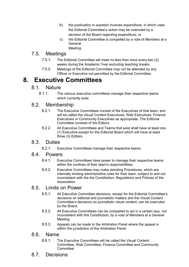- b) the publication in question involves expenditure, in which case the Editorial Committee's action may be overruled by a decision of the Board regarding expenditure; or
- c) the Editorial Committee is compelled by a vote of Members at a **General** Meeting.

## 7.5. Meetings

- 7.5.1. The Editorial Committee will meet no less than once every two (2) weeks during the Academic Year excluding teaching breaks.
- 7.5.2. Meetings of the Editorial Committee may not be attended by any Officer or Executive not permitted by the Editorial Committee.

# <span id="page-9-0"></span>**8. Executive Committees**

#### 8.1. Nature

8.1.1. The various executive committees manage their respective teams which currently exist.

## 8.2. Membership

- 8.2.1. The Executive Committees consist of the Executives of that team, and will be called the Visual Content Executives, Web Executives, Finance Executives or Community Executives as appropriate. The Editorial Committee consists of the Editors.
- 8.2.2. All Executive Committees and Teams that exist shall have at least one (1) Executive except for the Editorial Board which will have at least three (3) Editors.

## 8.3. Duties

8.2.1. Executive Committees manage their respective teams.

#### 8.4. Powers

- 8.4.1. Executive Committees have power to manage their respective teams within the confines of their team's responsibilities.
- 8.4.2. Executive Committees may make standing Procedures, which are internally binding administrative rules for their team, subject to and not inconsistent with the the Constitution, Regulations and Policies of the Association.

## 8.5. Limits on Power

- 8.5.1. All Executive Committee decisions, except for the Editorial Committee's decisions on editorial and journalistic matters and the Visual Content Committee's decisions on journalistic visual content, can be overruled by the Board.
- 8.5.2. All Executive Committees can be compelled to act in a certain way, not inconsistent with this Constitution, by a vote of Members at a General Meeting.
- 8.5.3. Appeals can be made to the Arbitration Panel where the appeal is within the jurisdiction of the Arbitration Panel.

#### 8.6. Name

- 8.6.1. The Executive Committees will be called the Visual Content Committee, Web Committee, Finance Committee and Community **Committee**
- 8.7. Decisions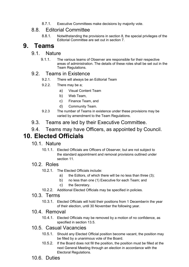8.7.1. Executive Committees make decisions by majority vote.

## 8.8. Editorial Committee

8.8.1. Notwithstanding the provisions in section 8, the special privileges of the Editorial Committee are set out in section 7.

# <span id="page-10-0"></span>**9. Teams**

#### 9.1. Nature

9.1.1. The various teams of Observer are responsible for their respective areas of administration. The details of these roles shall be set out in the Team Regulations.

#### 9.2. Teams in Existence

- 9.2.1. There will always be an Editorial Team
- 9.2.2. There may be a;
	- a) Visual Content Team
	- b) Web Team,
	- c) Finance Team, and
	- d) Community Team.
- 9.2.3 The number of Teams in existence under these provisions may be varied by amendment to the Team Regulations.
- 9.3. Teams are led by their Executive Committee.

# <span id="page-10-1"></span>9.4. Teams may have Officers, as appointed by Council. **10. Elected Officials**

- 10.1. Nature
	- 10.1.1. Elected Officials are Officers of Observer, but are not subject to the standard appointment and removal provisions outlined under section 11.

#### 10.2. Roles

- 10.2.1. The Elected Officials include:
	- a) the Editors, of which there will be no less than three (3);
	- b) no less than one (1) Executive for each Team; and
	- c) the Secretary.
- 10.2.2. Additional Elected Officials may be specified in policies.

#### 10.3. Terms

10.3.1. Elected Officials will hold their positions from 1 Decemberin the year of their election, until 30 November the following year.

#### <span id="page-10-2"></span>10.4. Removal

10.4.1. Elected Officials may be removed by a motion of no confidence, as specified in section 13.5.

#### 10.5. Casual Vacancies

- 10.5.1. Should any Elected Official position become vacant, the position may be filled by a unanimous vote of the Board.
- 10.5.2. If the Board does not fill the position, the position must be filled at the next General Meeting through an election in accordance with the Electoral Regulations.
- 10.6. Duties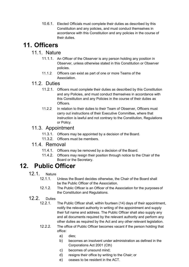10.6.1. Elected Officials must complete their duties as described by this Constitution and any policies, and must conduct themselves in accordance with this Constitution and any policies in the course of their duties.

# <span id="page-11-1"></span><span id="page-11-0"></span>**11. Officers**

#### 11.1. Nature

- 11.1.1. An Officer of the Observer is any person holding any position in Observer, unless otherwise stated in this Constitution or Observer policies.
- 11.1.2 Officers can exist as part of one or more Teams of the Association.

#### <span id="page-11-2"></span>11.2. Duties

- 11.2.1. Officers must complete their duties as described by this Constitution and any Policies, and must conduct themselves in accordance with this Constitution and any Policies in the course of their duties as Officers.
- 11.2.2 In relation to their duties to their Team of Observer, Officers must carry out instructions of their Executive Committee, where that instruction is lawful and not contrary to the Constitution, Regulations or Policy.

#### <span id="page-11-3"></span>11.3. Appointment

- 11.3.1. Officers may be appointed by a decision of the Board.
- 11.3.2. Officers must be members.

#### <span id="page-11-4"></span>11.4. Removal

- 11.4.1. Officers may be removed by a decision of the Board.
- 11.4.2. Officers may resign their position through notice to the Chair of the Board or the Secretary.

# **12. Public Officer**

- 12.1. Nature<br>12.1.1.
	- Unless the Board decides otherwise, the Chair of the Board shall be the Public Officer of the Association.
	- 12.1.2. The Public Officer is an Officer of the Association for the purposes of the Constitution and Regulations.

# 12.2. Duties<br>12.2.1.

- The Public Officer shall, within fourteen (14) days of their appointment, notify the relevant authority in writing of the appointment and supply their full name and address. The Public Officer shall also supply any and all documents required by the relevant authority and perform any other duties as required by the Act and any other relevant legislation.
- 12.2.2. The office of Public Officer becomes vacant if the person holding that office:
	- a) dies;
	- b) becomes an insolvent under administration as defined in the Corporations Act 2001 (Cth)
	- c) becomes of unsound mind;
	- d) resigns their office by writing to the Chair; or
	- e) ceases to be resident in the ACT.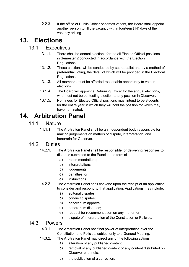12.2.3. If the office of Public Officer becomes vacant, the Board shall appoint another person to fill the vacancy within fourteen (14) days of the vacancy arising.

# <span id="page-12-0"></span>**13. Elections**

## 13.1. Executives

- 13.1.1. There shall be annual elections for the all Elected Official positions in Semester 2 conducted in accordance with the Election Regulations.
- 13.1.2. These elections will be conducted by secret ballot and by a method of preferential voting, the detail of which will be provided in the Electoral Regulations.
- 13.1.3. All members must be afforded reasonable opportunity to vote in elections.
- 13.1.4. The Board will appoint a Returning Officer for the annual elections, who must not be contesting election to any position in Observer.
- 13.1.5. Nominees for Elected Official positions must intend to be students for the entire year in which they will hold the position for which they have nominated.

# <span id="page-12-1"></span>**14. Arbitration Panel**

#### 14.1. Nature

14.1.1. The Arbitration Panel shall be an independent body responsible for making judgements on matters of dispute, interpretation, and honoraria for Observer.

#### 14.2 Duties

- 14.2.1. The Arbitration Panel shall be responsible for delivering responses to disputes submitted to the Panel in the form of
	- a) recommendations;
	- b) interpretations;
	- c) judgements;
	- d) penalties; or
	- e) instructions.
- 14.2.2. The Arbitration Panel shall convene upon the receipt of an application to consider and respond to that application. Applications may include:
	- a) editorial disputes;
	- b) conduct disputes;
	- c) honorarium approval;
	- d) honorarium disputes;
	- e) request for recommendation on any matter; or
	- f) dispute of interpretation of the Constitution or Policies.

#### 14.3. Powers

- 14.3.1. The Arbitration Panel has final power of interpretation over the Constitution and Policies, subject only to a General Meeting.
- 14.3.2. The Arbitration Panel may direct any of the following actions:
	- a) alteration of any published content;
	- b) removal of any published content or any content distributed on Observer channels;
	- c) the publication of a correction;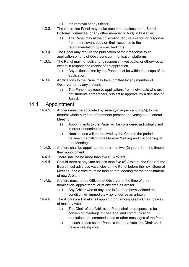- d) the removal of any Officer;
- 14.3.3. The Arbitration Panel may make recommendations to the Board, Editorial Committee, or any other member or body in Observer.
	- a) The Panel may at their discretion require a report or response from the relevant body on their response to the recommendation by a specified time.
- 14.3.4. The Panel may require the publication of their response to an application on any of Observer's communication platforms.
- 14.3.5. The Panel may not deliver any response, investigate, or otherwise act except in response to receipt of an application.
	- a) Any actions taken by the Panel must be within the scope of the application.
- 14.3.6. Applications to the Panel may be submitted by any member of Observer, or by any student.
	- a) The Panel may receive applications from individuals who are not students or members, subject to approval by a decision of Board.

## 14.4. Appointment

- 14.4.1. Arbiters must be appointed by seventy-five per cent (75%), to the nearest whole number, of members present and voting at a General Meeting.
	- a) Appointments to the Panel will be considered individually and in order of nomination.
	- b) Nominations will be received by the Chair in the period between the calling of a General Meeting and the opening of that Meeting.
- 14.4.2. Arbiters shall be appointed for a term of two (2) years from the time of their appointment.
- 14.4.3. There shall be no more than five (5) Arbiters.
- 14.4.4. Should there at any time be less than five (5) Arbiters, the Chair of the Board must advertise vacancies on the Panel before the next General Meeting, and a vote must be held at that Meeting for the appointment of new Arbiters.
- 14.4.5. Arbiters must not be Officers of Observer at the time of their nomination, appointment, or at any time as Arbiter.
	- a) Any Arbiter who at any time is found to have violated this condition will immediately no longer be an arbiter.
- 14.4.6. The Arbitration Panel shall appoint from among itself a Chair, by way of majority vote.
	- a) The Chair of the Arbitration Panel shall be responsible for convening meetings of the Panel and communicating resolutions, recommendations or other messages of the Panel.
	- b) In such a case as the Panel is tied on a vote, the Chair shall have a casting vote.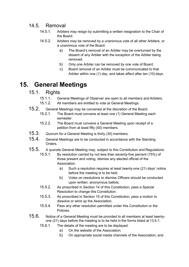## 14.5. Removal

- 14.5.1. Arbiters may resign by submitting a written resignation to the Chair of the Board.
- 14.5.2. Arbiters may be removed by a unanimous vote of all other Arbiters, or a unanimous vote of the Board.
	- a) The Board's removal of an Arbiter may be overturned by the dissent of any Arbiter with the exception of the Arbiter being removed.
	- b) Only one Arbiter can be removed by one vote of Board.
	- c) Board removal of an Arbiter must be communicated to that Arbiter within one (1) day, and takes effect after ten (10) days.

# <span id="page-14-0"></span>**15. General Meetings**

# 15.1. Rights

- 15.1.1. General Meetings of Observer are open to all members and Arbiters.
- 15.1.2. All members are entitled to vote at General Meetings.
- 15.2. General Meetings may be convened at the discretion of the Board.<br>15.2.1. The Board must convene at least one (1) General Meeting o
	- The Board must convene at least one (1) General Meeting each semester.
	- 15.2.2. The Board must convene a General Meeting upon receipt of a petition from at least fifty (50) members.
- 15.3. Quorum for a General Meeting is thirty (30) members.<br>15.4. General Meetings are to be conducted in accordance
- 15.4. General Meetings are to be conducted in accordance with the Standing Orders.
- 15.5. A quorate General Meeting may, subject to this Constitution and Regulations:
	- 15.5.1. By resolution carried by not less than seventy-five percent (75%) of those present and voting, dismiss any elected official of the Association.
		- a) Such a resolution requires at least twenty-one (21) days' notice before the meeting is to be held.
		- b) Votes on resolutions to dismiss Officers should be conducted upon written, anonymous ballots.
	- 15.5.2. As proscribed in Section 14 of this Constitution, pass a Special Resolution to change this Constitution.
	- 15.5.3. As proscribed in Section 15 of this Constitution, pass a motion to dissolve or wind up the Association.
	- 15.5.4. Pass any other resolution permitted under this Constitution or the **Policies**
- $15.6.$  Notice of a General Meeting must be provided to all members at least twentyone (21) days before the meeting is to be held in the forms listed at 13.6.1.
	- 15.6.1. The details of the meeting are to be displayed:
		- a) On the website of the Association;
		- b) On appropriate social media channels of the Association; and